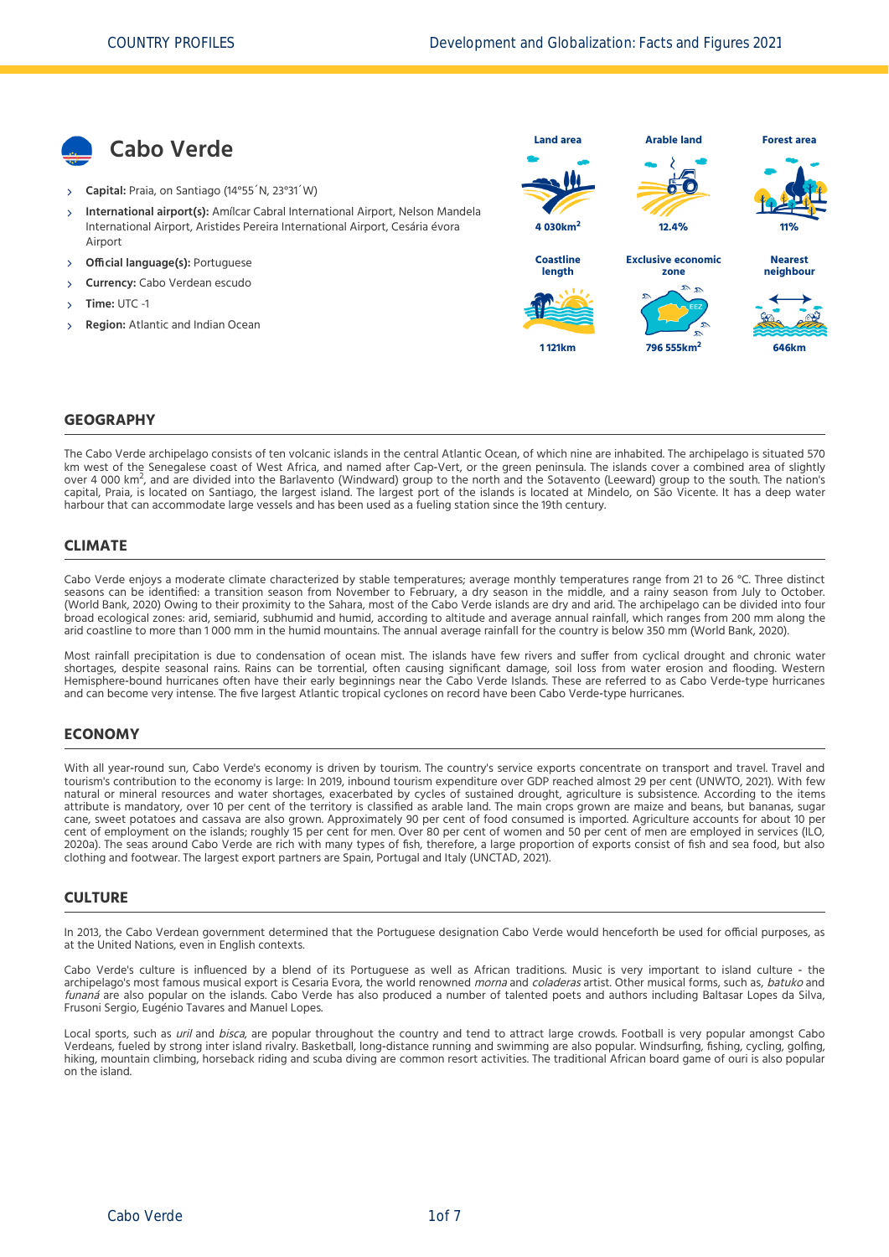

- **Capital:** Praia, on Santiago (14°55´N, 23°31´W)
- **International airport(s):** Amílcar Cabral International Airport, Nelson Mandela International Airport, Aristides Pereira International Airport, Cesária évora Airport X,
- **Official language(s):** Portuguese
- **Currency:** Cabo Verdean escudo
- **Time:** UTC -1
- **Region:** Atlantic and Indian Ocean



### **GEOGRAPHY**

The Cabo Verde archipelago consists of ten volcanic islands in the central Atlantic Ocean, of which nine are inhabited. The archipelago is situated 570 km west of the Senegalese coast of West Africa, and named after Cap-Vert, or the green peninsula. The islands cover a combined area of slightly over 4 000 km , and are divided into the Barlavento (Windward) group to the north and the Sotavento (Leeward) group to the south. The nation's<br>2008 km , and are divided into the Barlavento (Windward) group to the north and capital, Praia, is located on Santiago, the largest island. The largest port of the islands is located at Mindelo, on São Vicente. It has a deep water harbour that can accommodate large vessels and has been used as a fueling station since the 19th century.

### **CLIMATE**

Cabo Verde enjoys a moderate climate characterized by stable temperatures; average monthly temperatures range from 21 to 26 °C. Three distinct seasons can be identified: a transition season from November to February, a dry season in the middle, and a rainy season from July to October. [\(World Bank, 2020\)](#page-6-0) Owing to their proximity to the Sahara, most of the Cabo Verde islands are dry and arid. The archipelago can be divided into four broad ecological zones: arid, semiarid, subhumid and humid, according to altitude and average annual rainfall, which ranges from 200 mm along the arid coastline to more than 1 000 mm in the humid mountains. The annual average rainfall for the country is below 350 mm [\(World Bank, 2020\).](#page-6-0)

Most rainfall precipitation is due to condensation of ocean mist. The islands have few rivers and suffer from cyclical drought and chronic water shortages, despite seasonal rains. Rains can be torrential, often causing significant damage, soil loss from water erosion and flooding. Western Hemisphere-bound hurricanes often have their early beginnings near the Cabo Verde Islands. These are referred to as Cabo Verde-type hurricanes and can become very intense. The five largest Atlantic tropical cyclones on record have been Cabo Verde‐type hurricanes.

### **ECONOMY**

With all year-round sun, Cabo Verde's economy is driven by tourism. The country's service exports concentrate on transport and travel. Travel and tourism's contribution to the economy is large: In 2019, inbound tourism expenditure over GDP reached almost 29 per cent [\(UNWTO, 2021\).](#page-6-1) With few natural or mineral resources and water shortages, exacerbated by cycles of sustained drought, agriculture is subsistence. According to the items attribute is mandatory, over 10 per cent of the territory is classified as arable land. The main crops grown are maize and beans, but bananas, sugar cane, sweet potatoes and cassava are also grown. Approximately 90 per cent of food consumed is imported. Agriculture accounts for about 10 per [cent of employment on the islands; roughly 15 per cent for men. Over 80 per cent of women and 50 per cent of men are employed in services \(ILO,](#page-6-2) 2020a). The seas around Cabo Verde are rich with many types of fish, therefore, a large proportion of exports consist of fish and sea food, but also clothing and footwear. The largest export partners are Spain, Portugal and Italy [\(UNCTAD, 2021\)](#page-6-3).

### **CULTURE**

In 2013, the Cabo Verdean government determined that the Portuguese designation Cabo Verde would henceforth be used for official purposes, as at the United Nations, even in English contexts.

Cabo Verde's culture is influenced by a blend of its Portuguese as well as African traditions. Music is very important to island culture ‐ the archipelago's most famous musical export is Cesaria Evora, the world renowned morna and coladeras artist. Other musical forms, such as, batuko and funaná are also popular on the islands. Cabo Verde has also produced a number of talented poets and authors including Baltasar Lopes da Silva, Frusoni Sergio, Eugénio Tavares and Manuel Lopes.

Local sports, such as uril and bisca, are popular throughout the country and tend to attract large crowds. Football is very popular amongst Cabo Verdeans, fueled by strong inter island rivalry. Basketball, long‐distance running and swimming are also popular. Windsurfing, fishing, cycling, golfing, hiking, mountain climbing, horseback riding and scuba diving are common resort activities. The traditional African board game of ouri is also popular on the island.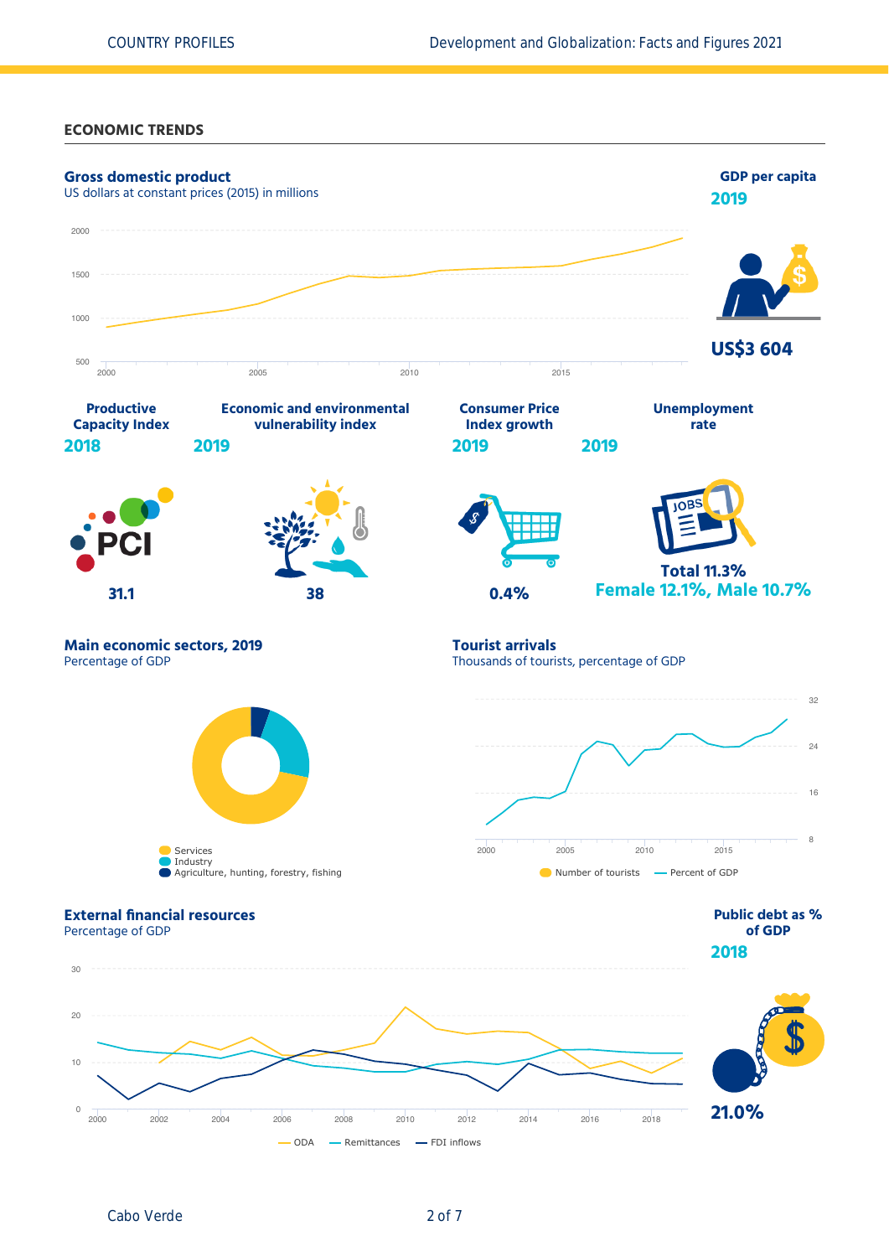**ECONOMIC TRENDS**

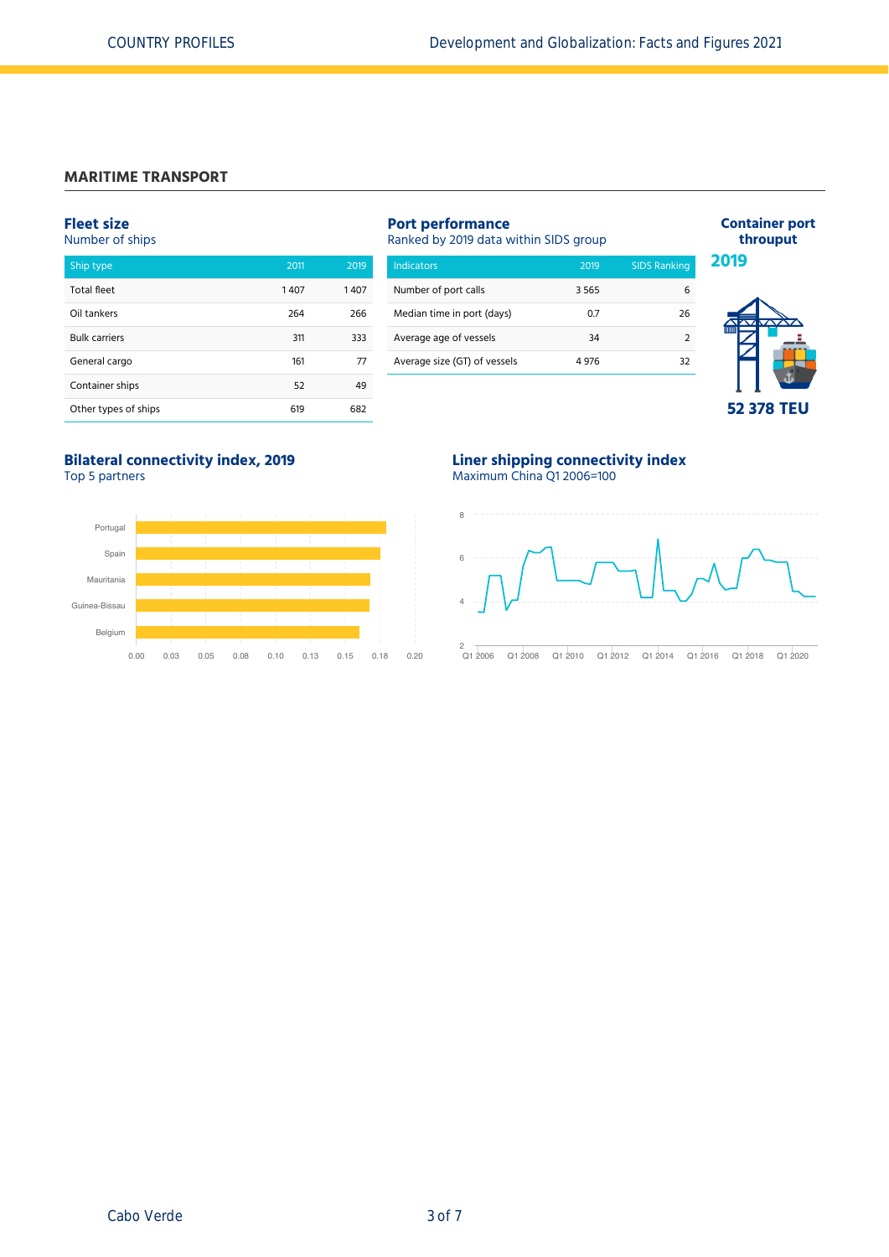### **MARITIME TRANSPORT**

### **Fleet size**

Number of ships

| Ship type            | 2011 | 2019 |
|----------------------|------|------|
| <b>Total fleet</b>   | 1407 | 1407 |
| Oil tankers          | 264  | 266  |
| <b>Bulk carriers</b> | 311  | 333  |
| General cargo        | 161  | 77   |
| Container ships      | 52   | 49   |
| Other types of ships | 619  | 682  |

| <b>Port performance</b><br>Ranked by 2019 data within SIDS group |       |                     |  |  |  |  |
|------------------------------------------------------------------|-------|---------------------|--|--|--|--|
| Indicators                                                       | 2019  | <b>SIDS Ranking</b> |  |  |  |  |
| Number of port calls                                             | 3565  | 6                   |  |  |  |  |
| Median time in port (days)                                       | 07    | 26                  |  |  |  |  |
| Average age of vessels                                           | 34    | າ                   |  |  |  |  |
| Average size (GT) of vessels                                     | 4 976 | 32                  |  |  |  |  |



**Container port**

**Bilateral connectivity index, 2019** Top 5 partners



### **Liner shipping connectivity index** Maximum China Q1 2006=100



Q1 2006 Q1 2008 Q1 2010 Q1 2012 Q1 2014 Q1 2016 Q1 2018 Q1 2020  $2$  Q1 2006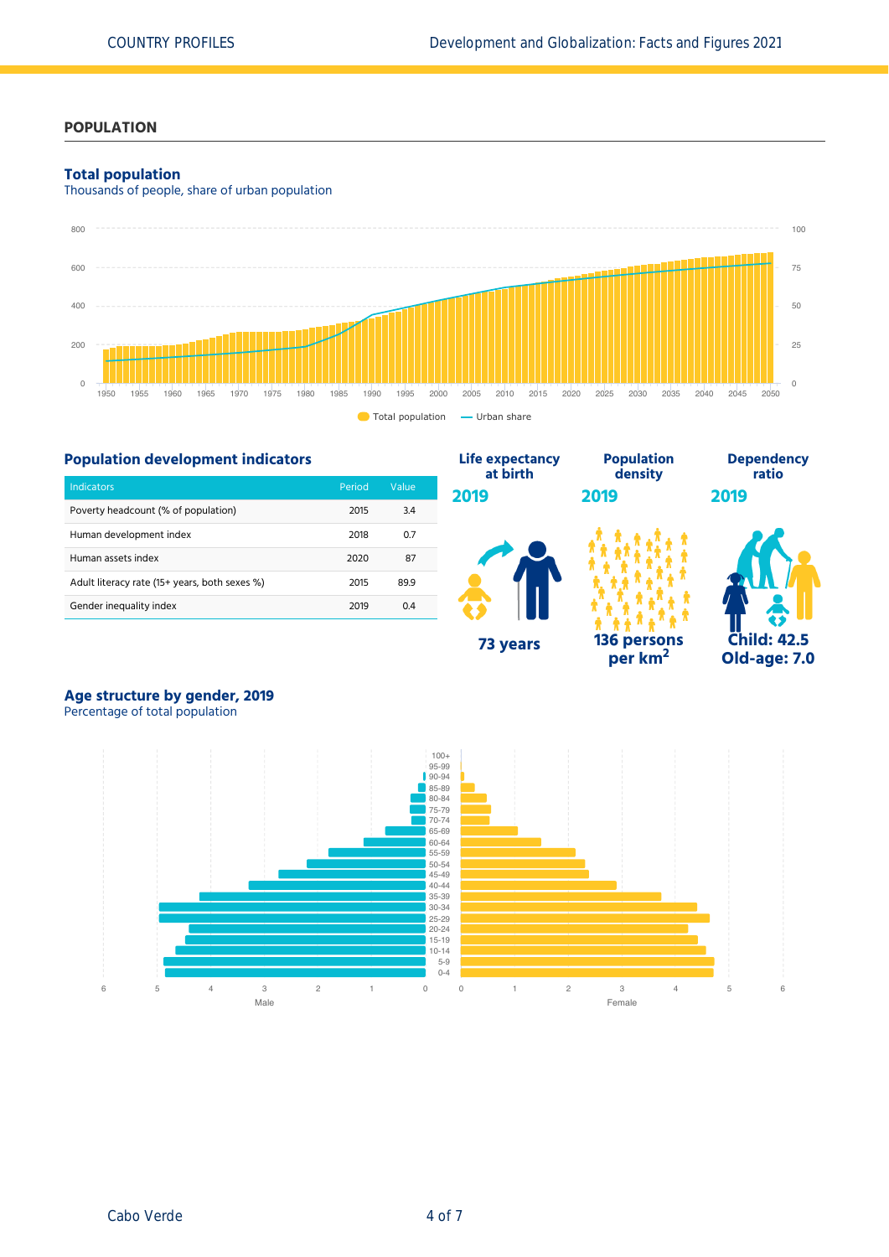### **POPULATION**

### **Total population**

Thousands of people, share of urban population



#### **Population development indicators** Indicators Period Value Poverty headcount (% of population) 2015 3.4 Human development index and the control of the 2018 of 2018 of the 2018 of the 2018 of the 2018 of the 2018 of the 201 Human assets index 2020 87 Adult literacy rate (15+ years, both sexes %) 2015 89.9 Gender inequality index 2019 0.4 **Life expectancy at birth 2019 73 years Population density 2019 136 persons per km<sup>2</sup> Dependency ratio 2019 Child: 42.5 Old-age: 7.0**

# **Age structure by gender, 2019**

Percentage of total population

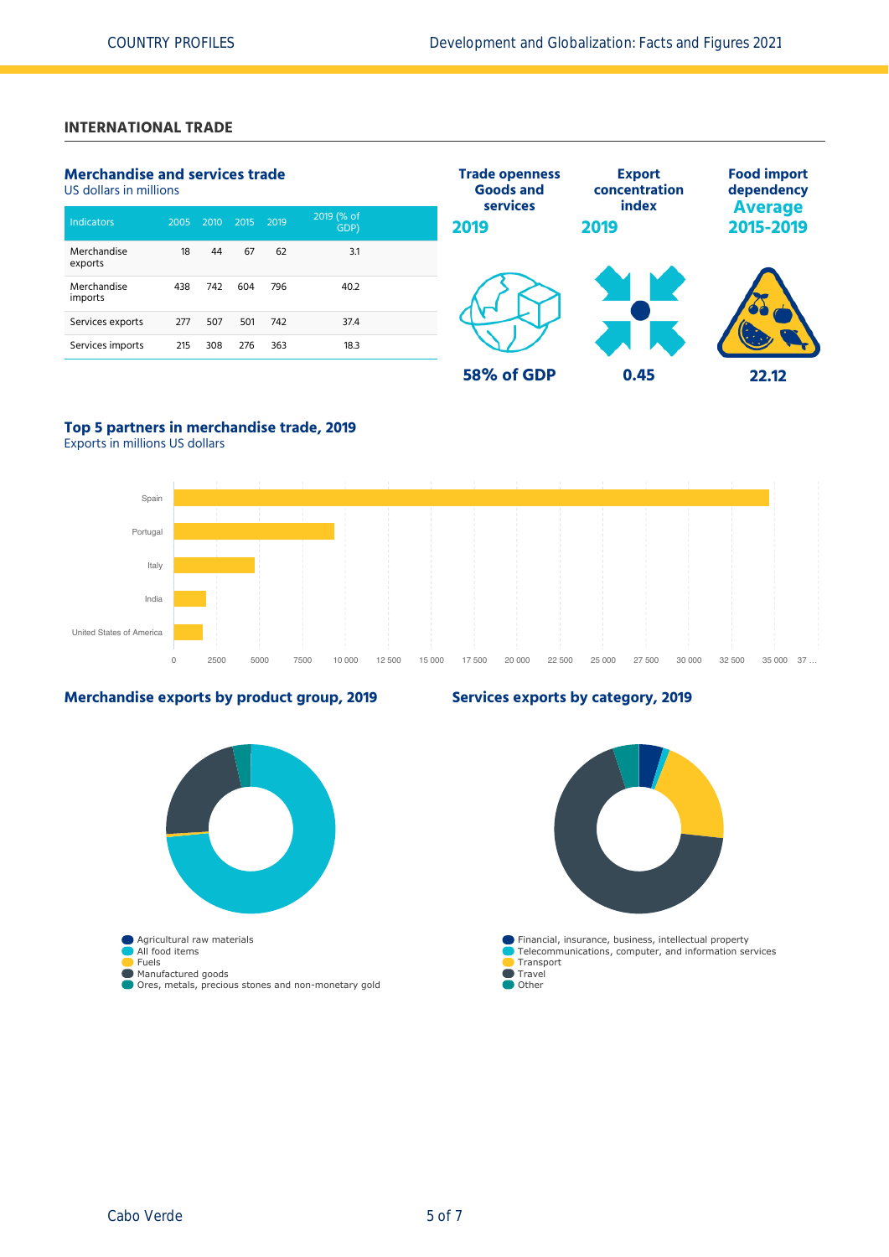### **INTERNATIONAL TRADE**

| <b>Merchandise and services trade</b><br>US dollars in millions |      |      |      |      |                    | <b>Trade openness</b><br><b>Goods and</b> | <b>Export</b><br>concentration | <b>Food import</b><br>dependency |
|-----------------------------------------------------------------|------|------|------|------|--------------------|-------------------------------------------|--------------------------------|----------------------------------|
| <b>Indicators</b>                                               | 2005 | 2010 | 2015 | 2019 | 2019 (% of<br>GDP) | services<br>2019                          | index<br>2019                  | <b>Average</b><br>2015-2019      |
| Merchandise<br>exports                                          | 18   | 44   | 67   | 62   | 3.1                |                                           |                                |                                  |
| Merchandise<br>imports                                          | 438  | 742  | 604  | 796  | 40.2               |                                           |                                |                                  |
| Services exports                                                | 277  | 507  | 501  | 742  | 37.4               |                                           |                                |                                  |
| Services imports                                                | 215  | 308  | 276  | 363  | 18.3               |                                           |                                |                                  |
|                                                                 |      |      |      |      |                    | 58% of GDP                                | 0.45                           | 22.12                            |

### **Top 5 partners in merchandise trade, 2019**

Exports in millions US dollars



### **Merchandise exports by product group, 2019**



### **Services exports by category, 2019**

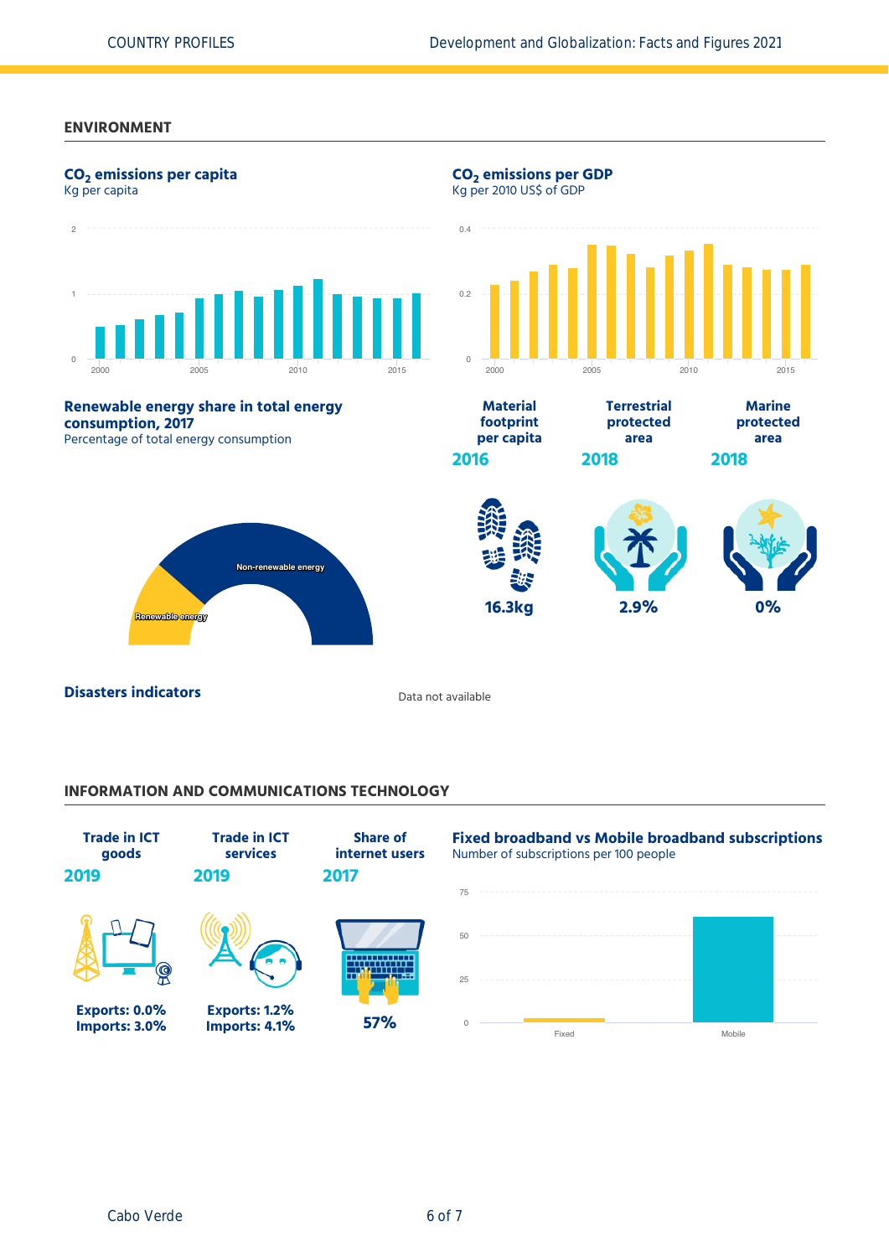### **ENVIRONMENT**



### **INFORMATION AND COMMUNICATIONS TECHNOLOGY**